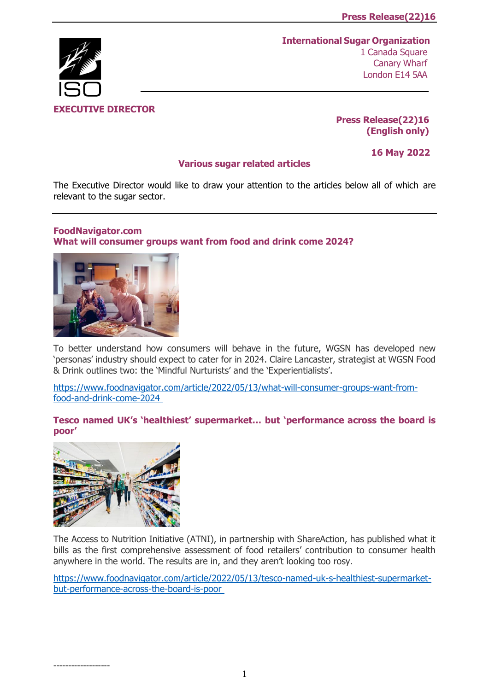# **EXECUTIVE DIRECTOR**

**International Sugar Organization** 1 Canada Square Canary Wharf London E14 5AA

## **Press Release(22)16 (English only)**

## **Various sugar related articles**

**16 May 2022**

The Executive Director would like to draw your attention to the articles below all of which are relevant to the sugar sector.

# **FoodNavigator.com**

**[What will consumer groups want from food and drink come 2024?](https://www.foodnavigator.com/Article/2022/05/13/What-will-consumer-groups-want-from-food-and-drink-come-2024?utm_source=copyright&utm_medium=OnSite&utm_campaign=copyright)**



To better understand how consumers will behave in the future, WGSN has developed new 'personas' industry should expect to cater for in 2024. Claire Lancaster, strategist at WGSN Food & Drink outlines two: the 'Mindful Nurturists' and the 'Experientialists'.

[https://www.foodnavigator.com/article/2022/05/13/what-will-consumer-groups-want-from](https://www.foodnavigator.com/Article/2022/05/13/What-will-consumer-groups-want-from-food-and-drink-come-2024?utm_source=copyright&utm_medium=OnSite&utm_campaign=copyright)[food-and-drink-come-2024](https://www.foodnavigator.com/Article/2022/05/13/What-will-consumer-groups-want-from-food-and-drink-come-2024?utm_source=copyright&utm_medium=OnSite&utm_campaign=copyright)

**[Tesco named UK's 'healthiest' supermarket… but 'pe](https://www.foodnavigator.com/Article/2022/05/13/tesco-named-uk-s-healthiest-supermarket-but-performance-across-the-board-is-poor?utm_source=copyright&utm_medium=OnSite&utm_campaign=copyright)rformance across the board is [poor'](https://www.foodnavigator.com/Article/2022/05/13/tesco-named-uk-s-healthiest-supermarket-but-performance-across-the-board-is-poor?utm_source=copyright&utm_medium=OnSite&utm_campaign=copyright)**



The Access to Nutrition Initiative (ATNI), in partnership with ShareAction, has published what it bills as the first comprehensive assessment of food retailers' contribution to consumer health anywhere in the world. The results are in, and they aren't looking too rosy.

[https://www.foodnavigator.com/article/2022/05/13/tesco-named-uk-s-healthiest-supermarket](https://www.foodnavigator.com/Article/2022/05/13/tesco-named-uk-s-healthiest-supermarket-but-performance-across-the-board-is-poor?utm_source=copyright&utm_medium=OnSite&utm_campaign=copyright)[but-performance-across-the-board-is-poor](https://www.foodnavigator.com/Article/2022/05/13/tesco-named-uk-s-healthiest-supermarket-but-performance-across-the-board-is-poor?utm_source=copyright&utm_medium=OnSite&utm_campaign=copyright)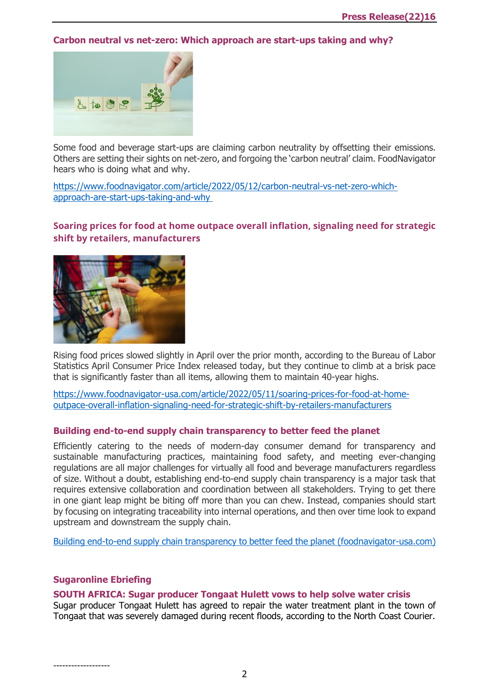## **[Carbon neutral vs net-zero: Which approach are start-ups taking and why?](https://www.foodnavigator.com/Article/2022/05/12/Carbon-neutral-vs-net-zero-Which-approach-are-start-ups-taking-and-why?utm_source=copyright&utm_medium=OnSite&utm_campaign=copyright)**



Some food and beverage start-ups are claiming carbon neutrality by offsetting their emissions. Others are setting their sights on net-zero, and forgoing the 'carbon neutral' claim. FoodNavigator hears who is doing what and why.

[https://www.foodnavigator.com/article/2022/05/12/carbon-neutral-vs-net-zero-which](https://www.foodnavigator.com/Article/2022/05/12/Carbon-neutral-vs-net-zero-Which-approach-are-start-ups-taking-and-why?utm_source=copyright&utm_medium=OnSite&utm_campaign=copyright)[approach-are-start-ups-taking-and-why](https://www.foodnavigator.com/Article/2022/05/12/Carbon-neutral-vs-net-zero-Which-approach-are-start-ups-taking-and-why?utm_source=copyright&utm_medium=OnSite&utm_campaign=copyright)

# **[Soaring prices for food at home outpace overall inflation, signaling need for strategic](https://www.foodnavigator-usa.com/Article/2022/05/11/Soaring-prices-for-food-at-home-outpace-overall-inflation-signaling-need-for-strategic-shift-by-retailers-manufacturers?utm_source=copyright&utm_medium=OnSite&utm_campaign=copyright)  [shift by retailers, manufacturers](https://www.foodnavigator-usa.com/Article/2022/05/11/Soaring-prices-for-food-at-home-outpace-overall-inflation-signaling-need-for-strategic-shift-by-retailers-manufacturers?utm_source=copyright&utm_medium=OnSite&utm_campaign=copyright)**



Rising food prices slowed slightly in April over the prior month, according to the Bureau of Labor Statistics April Consumer Price Index released today, but they continue to climb at a brisk pace that is significantly faster than all items, allowing them to maintain 40-year highs.

[https://www.foodnavigator-usa.com/article/2022/05/11/soaring-prices-for-food-at-home](https://www.foodnavigator-usa.com/Article/2022/05/11/Soaring-prices-for-food-at-home-outpace-overall-inflation-signaling-need-for-strategic-shift-by-retailers-manufacturers?utm_source=copyright&utm_medium=OnSite&utm_campaign=copyright)[outpace-overall-inflation-signaling-need-for-strategic-shift-by-retailers-manufacturers](https://www.foodnavigator-usa.com/Article/2022/05/11/Soaring-prices-for-food-at-home-outpace-overall-inflation-signaling-need-for-strategic-shift-by-retailers-manufacturers?utm_source=copyright&utm_medium=OnSite&utm_campaign=copyright)

## **Building end-to-end supply chain transparency to better feed the planet**

Efficiently catering to the needs of modern-day consumer demand for transparency and sustainable manufacturing practices, maintaining food safety, and meeting ever-changing regulations are all major challenges for virtually all food and beverage manufacturers regardless of size. Without a doubt, establishing end-to-end supply chain transparency is a major task that requires extensive collaboration and coordination between all stakeholders. Trying to get there in one giant leap might be biting off more than you can chew. Instead, companies should start by focusing on integrating traceability into internal operations, and then over time look to expand upstream and downstream the supply chain.

[Building end-to-end supply chain transparency to better feed the planet \(foodnavigator-usa.com\)](https://www.foodnavigator-usa.com/News/Promotional-Features/Building-end-to-end-supply-chain-transparency-to-better-feed-the-planet?source=3&utm_source=newsletter_daily&utm_medium=email&utm_campaign=11-May-2022&cid=DM1004455&bid=1932469095)

## **Sugaronline Ebriefing**

## **[SOUTH AFRICA: Sugar producer Tongaat Hulett vows to help solve water crisis](https://www.sugaronline.com/2022/05/13/south-africa-sugar-producer-tongaat-hulett-vows-to-help-solve-water-crisis/)**

Sugar producer Tongaat Hulett has agreed to repair the water treatment plant in the town of Tongaat that was severely damaged during recent floods, according to the North Coast Courier.